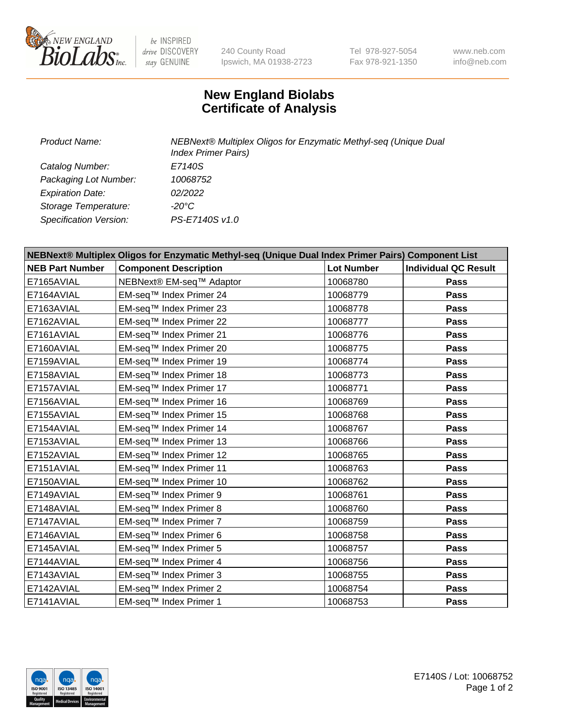

be INSPIRED drive DISCOVERY stay GENUINE

240 County Road Ipswich, MA 01938-2723 Tel 978-927-5054 Fax 978-921-1350

www.neb.com info@neb.com

## **New England Biolabs Certificate of Analysis**

*Product Name: NEBNext® Multiplex Oligos for Enzymatic Methyl-seq (Unique Dual Index Primer Pairs) Catalog Number: E7140S Packaging Lot Number: 10068752 Expiration Date: 02/2022 Storage Temperature: -20°C Specification Version: PS-E7140S v1.0*

| NEBNext® Multiplex Oligos for Enzymatic Methyl-seq (Unique Dual Index Primer Pairs) Component List |                              |                   |                             |  |
|----------------------------------------------------------------------------------------------------|------------------------------|-------------------|-----------------------------|--|
| <b>NEB Part Number</b>                                                                             | <b>Component Description</b> | <b>Lot Number</b> | <b>Individual QC Result</b> |  |
| E7165AVIAL                                                                                         | NEBNext® EM-seq™ Adaptor     | 10068780          | Pass                        |  |
| E7164AVIAL                                                                                         | EM-seq™ Index Primer 24      | 10068779          | <b>Pass</b>                 |  |
| E7163AVIAL                                                                                         | EM-seq™ Index Primer 23      | 10068778          | Pass                        |  |
| E7162AVIAL                                                                                         | EM-seq™ Index Primer 22      | 10068777          | Pass                        |  |
| E7161AVIAL                                                                                         | EM-seq™ Index Primer 21      | 10068776          | <b>Pass</b>                 |  |
| E7160AVIAL                                                                                         | EM-seq™ Index Primer 20      | 10068775          | Pass                        |  |
| E7159AVIAL                                                                                         | EM-seq™ Index Primer 19      | 10068774          | Pass                        |  |
| E7158AVIAL                                                                                         | EM-seq™ Index Primer 18      | 10068773          | Pass                        |  |
| E7157AVIAL                                                                                         | EM-seq™ Index Primer 17      | 10068771          | Pass                        |  |
| E7156AVIAL                                                                                         | EM-seq™ Index Primer 16      | 10068769          | <b>Pass</b>                 |  |
| E7155AVIAL                                                                                         | EM-seq™ Index Primer 15      | 10068768          | Pass                        |  |
| E7154AVIAL                                                                                         | EM-seq™ Index Primer 14      | 10068767          | Pass                        |  |
| E7153AVIAL                                                                                         | EM-seq™ Index Primer 13      | 10068766          | Pass                        |  |
| E7152AVIAL                                                                                         | EM-seq™ Index Primer 12      | 10068765          | Pass                        |  |
| E7151AVIAL                                                                                         | EM-seq™ Index Primer 11      | 10068763          | Pass                        |  |
| E7150AVIAL                                                                                         | EM-seq™ Index Primer 10      | 10068762          | Pass                        |  |
| E7149AVIAL                                                                                         | EM-seq™ Index Primer 9       | 10068761          | <b>Pass</b>                 |  |
| E7148AVIAL                                                                                         | EM-seq™ Index Primer 8       | 10068760          | Pass                        |  |
| E7147AVIAL                                                                                         | EM-seq™ Index Primer 7       | 10068759          | <b>Pass</b>                 |  |
| E7146AVIAL                                                                                         | EM-seq™ Index Primer 6       | 10068758          | Pass                        |  |
| E7145AVIAL                                                                                         | EM-seq™ Index Primer 5       | 10068757          | Pass                        |  |
| E7144AVIAL                                                                                         | EM-seq™ Index Primer 4       | 10068756          | Pass                        |  |
| E7143AVIAL                                                                                         | EM-seq™ Index Primer 3       | 10068755          | Pass                        |  |
| E7142AVIAL                                                                                         | EM-seq™ Index Primer 2       | 10068754          | <b>Pass</b>                 |  |
| E7141AVIAL                                                                                         | EM-seq™ Index Primer 1       | 10068753          | Pass                        |  |